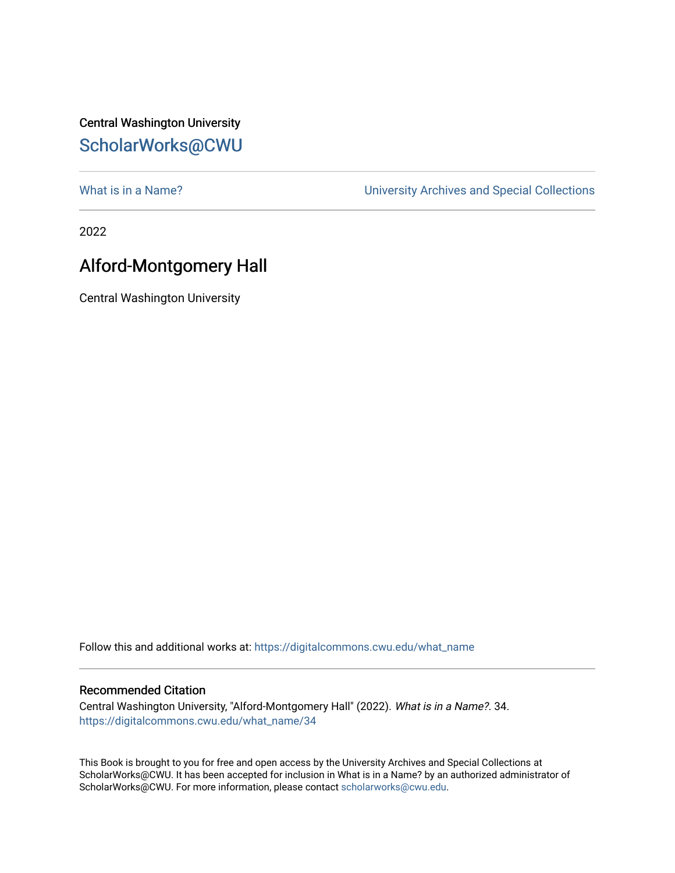Central Washington University [ScholarWorks@CWU](https://digitalcommons.cwu.edu/) 

[What is in a Name?](https://digitalcommons.cwu.edu/what_name) **What is in a Name?** University Archives and Special Collections

2022

## Alford-Montgomery Hall

Central Washington University

Follow this and additional works at: [https://digitalcommons.cwu.edu/what\\_name](https://digitalcommons.cwu.edu/what_name?utm_source=digitalcommons.cwu.edu%2Fwhat_name%2F34&utm_medium=PDF&utm_campaign=PDFCoverPages) 

## Recommended Citation

Central Washington University, "Alford-Montgomery Hall" (2022). What is in a Name?. 34. [https://digitalcommons.cwu.edu/what\\_name/34](https://digitalcommons.cwu.edu/what_name/34?utm_source=digitalcommons.cwu.edu%2Fwhat_name%2F34&utm_medium=PDF&utm_campaign=PDFCoverPages) 

This Book is brought to you for free and open access by the University Archives and Special Collections at ScholarWorks@CWU. It has been accepted for inclusion in What is in a Name? by an authorized administrator of ScholarWorks@CWU. For more information, please contact [scholarworks@cwu.edu](mailto:scholarworks@cwu.edu).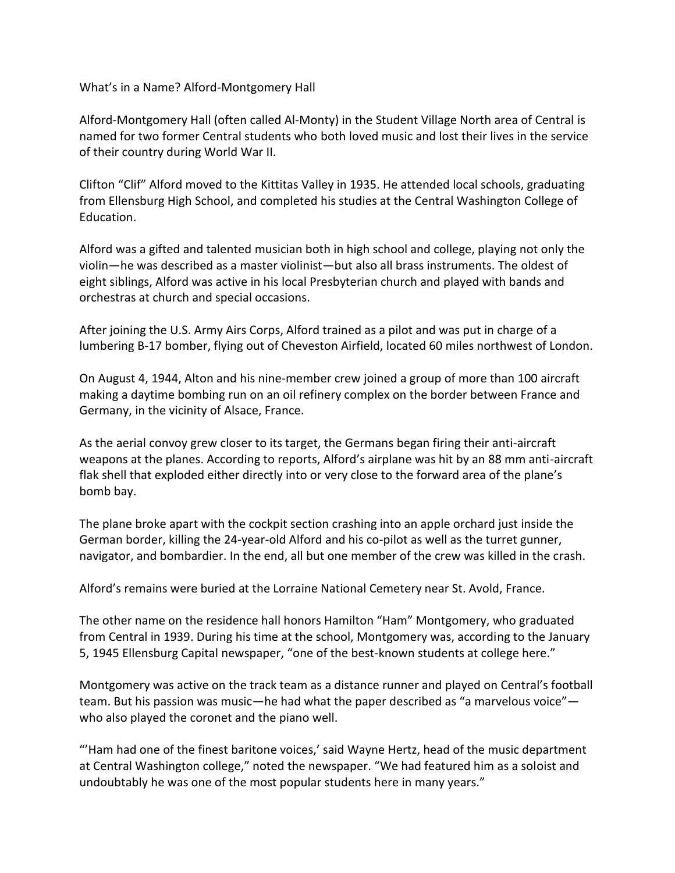What's in a Name? Alford-Montgomery Hall

Alford-Montgomery Hall (often called Al-Monty) in the Student Village North area of Central is named for two former Central students who both loved music and lost their lives in the service of their country during World War II.

Clifton "Clif" Alford moved to the Kittitas Valley in 1935. He attended local schools, graduating from Ellensburg High School, and completed his studies at the Central Washington College of Education.

Alford was a gifted and talented musician both in high school and college, playing not only the violin—he was described as a master violinist—but also all brass instruments. The oldest of eight siblings, Alford was active in his local Presbyterian church and played with bands and orchestras at church and special occasions.

After joining the U.S. Army Airs Corps, Alford trained as a pilot and was put in charge of a lumbering B-17 bomber, flying out of Cheveston Airfield, located 60 miles northwest of London.

On August 4, 1944, Alton and his nine-member crew joined a group of more than 100 aircraft making a daytime bombing run on an oil refinery complex on the border between France and Germany, in the vicinity of Alsace, France.

As the aerial convoy grew closer to its target, the Germans began firing their anti-aircraft weapons at the planes. According to reports, Alford's airplane was hit by an 88 mm anti-aircraft flak shell that exploded either directly into or very close to the forward area of the plane's bomb bay.

The plane broke apart with the cockpit section crashing into an apple orchard just inside the German border, killing the 24-year-old Alford and his co-pilot as well as the turret gunner, navigator, and bombardier. In the end, all but one member of the crew was killed in the crash.

Alford's remains were buried at the Lorraine National Cemetery near St. Avold, France.

The other name on the residence hall honors Hamilton "Ham" Montgomery, who graduated from Central in 1939. During his time at the school, Montgomery was, according to the January 5, 1945 Ellensburg Capital newspaper, "one of the best-known students at college here."

Montgomery was active on the track team as a distance runner and played on Central's football team. But his passion was music—he had what the paper described as "a marvelous voice" who also played the coronet and the piano well.

"'Ham had one of the finest baritone voices,' said Wayne Hertz, head of the music department at Central Washington college," noted the newspaper. "We had featured him as a soloist and undoubtably he was one of the most popular students here in many years."